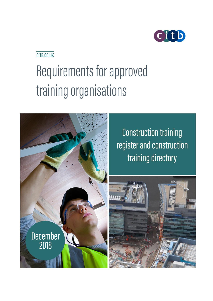

# CITB.CO.UK

# Requirements for approved training organisations



**Construction training** register and construction training directory

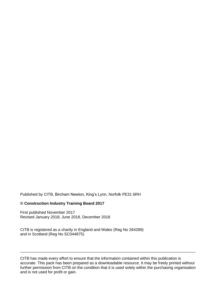Published by CITB, Bircham Newton, King's Lynn, Norfolk PE31 6RH

#### **© Construction Industry Training Board 2017**

First published November 2017 Revised January 2018, June 2018, December 2018

CITB is registered as a charity in England and Wales (Reg No 264289) and in Scotland (Reg No SC044875)

CITB has made every effort to ensure that the information contained within this publication is accurate. This pack has been prepared as a downloadable resource. It may be freely printed without further permission from CITB on the condition that it is used solely within the purchasing organisation and is not used for profit or gain.

\_\_\_\_\_\_\_\_\_\_\_\_\_\_\_\_\_\_\_\_\_\_\_\_\_\_\_\_\_\_\_\_\_\_\_\_\_\_\_\_\_\_\_\_\_\_\_\_\_\_\_\_\_\_\_\_\_\_\_\_\_\_\_\_\_\_\_\_\_\_\_\_\_\_\_\_\_\_\_\_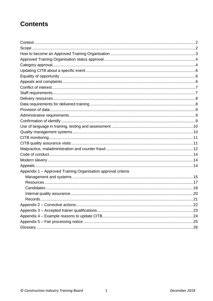# **Contents**

| Appendix 1 - Approved Training Organisation approval criteria |  |
|---------------------------------------------------------------|--|
|                                                               |  |
|                                                               |  |
|                                                               |  |
|                                                               |  |
|                                                               |  |
|                                                               |  |
|                                                               |  |
|                                                               |  |
|                                                               |  |
|                                                               |  |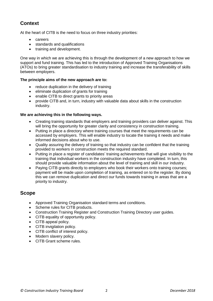# **Context**

At the heart of CITB is the need to focus on three industry priorities:

- careers
- standards and qualifications
- training and development.

One way in which we are achieving this is through the development of a new approach to how we support and fund training. This has led to the introduction of Approved Training Organisations (ATOs) to bring greater standardisation to industry training and increase the transferability of skills between employers.

#### **The principle aims of the new approach are to:**

- reduce duplication in the delivery of training
- eliminate duplication of grants for training
- enable CITB to direct grants to priority areas
- provide CITB and, in turn, industry with valuable data about skills in the construction industry.

#### **We are achieving this in the following ways.**

- Creating training standards that employers and training providers can deliver against. This will bring the opportunity for greater clarity and consistency in construction training.
- Putting in place a directory where training courses that meet the requirements can be accessed by employers. This will enable industry to locate the training it needs and make informed decisions about who to use.
- Quality assuring the delivery of training so that industry can be confident that the training provided to workers in construction meets the required standard.
- Putting in place a register of candidates' training achievements that will give visibility to the training that individual workers in the construction industry have completed. In turn, this should provide valuable information about the level of training and skill in our industry.
- Paying CITB grants directly to employers who book their workers onto training courses; payment will be made upon completion of training, as entered on to the register. By doing this we can remove duplication and direct our funds towards training in areas that are a priority to industry.

### **Scope**

- Approved Training Organisation standard terms and conditions.
- Scheme rules for CITB products.
- Construction Training Register and Construction Training Directory user guides.
- CITB equality of opportunity policy.
- CITB appeal policy.
- CITB invigilation policy.
- CITB conflict of interest policy.
- Modern slavery policy.
- CITB Grant scheme rules.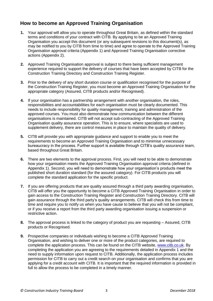# **How to become an Approved Training Organisation**

- **1.** Your approval will allow you to operate throughout Great Britain, as defined within the standard terms and conditions of your contract with CITB. By applying to be an Approved Training Organisation you accept this document (or any subsequent revisions to this document(s), as may be notified to you by CITB from time to time) and agree to operate to the Approved Training Organisation approval criteria (Appendix 1) and Approved Training Organisation corrective actions (Appendix 2).
- **2.** Approved Training Organisation approval is subject to there being sufficient management experience required to support the delivery of courses that have been accepted by CITB for the Construction Training Directory and Construction Training Register.
- **3.** Prior to the delivery of any short duration course or qualification recognised for the purpose of the Construction Training Register, you must become an Approved Training Organisation for the appropriate category (Assured, CITB products and/or Recognised).
- **4.** If your organisation has a partnership arrangement with another organisation, the roles, responsibilities and accountabilities for each organisation must be clearly documented. This needs to include responsibility for quality management, training and administration of the approved courses. You must also demonstrate how communication between the different organisations is maintained. CITB will not accept sub-contracting of the Approved Training Organisation quality assurance operation. This is to ensure, where specialists are used to supplement delivery, there are control measures in place to maintain the quality of delivery.
- **5.** CITB will provide you with appropriate guidance and support to enable you to meet the requirements to become an Approved Training Organisation and to minimise unnecessary bureaucracy in the process. Further support is available through CITB's quality assurance team, based throughout Great Britain.
- **6.** There are two elements to the approval process. First, you will need to be able to demonstrate how your organisation meets the Approved Training Organisation approval criteria (defined in Appendix 1). Second, you will need to demonstrate how your organisation's products meet the published short duration standard (for the assured category). For CITB products you will complete the standard application for the specific product.
- **7.** If you are offering products that are quality assured through a third party awarding organisation, CITB will offer you the opportunity to become a CITB Approved Training Organisation in order to gain access to the Construction Training Register and Construction Training Directory. CITB will gain assurance through the third party's quality arrangements. CITB will check this from time to time and require you to notify us when you have cause to believe that you will not be compliant, or if you receive a report from the third party awarding organisation issuing a suspension or restrictive action.
- **8.** The approval process is linked to the category of product you are requesting Assured, CITB products or Recognised.
- **9.** Prospective companies or individuals wishing to become a CITB Approved Training Organisation, and wishing to deliver one or more of the product categories, are required to complete the application process. This can be found on the CITB website, [www.citb.co.uk.](http://www.citb.co.uk/) By completing the application you are agreeing to the requirements detailed in Appendix 1 and the need to supply information upon request to CITB. Additionally, the application process includes permission for CITB to carry out a credit search on your organisation and confirms that you are applying for a credit account with CITB. It is important that the required information is provided in full to allow the process to be completed in a timely manner.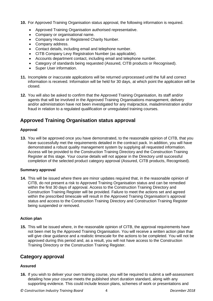- **10.** For Approved Training Organisation status approval, the following information is required.
	- Approved Training Organisation authorised representative.
	- Company or organisational name.
	- Company House or Registered Charity Number.
	- Company address.
	- Contact details, including email and telephone number.
	- CITB Company Levy Registration Number (as applicable).
	- Accounts department contact, including email and telephone number.
	- Category of standards being requested (Assured, CITB products or Recognised).
	- Super User information.
- **11.** Incomplete or inaccurate applications will be returned unprocessed until the full and correct information is received. Information will be held for 30 days, at which point the application will be closed.
- **12.** You will also be asked to confirm that the Approved Training Organisation, its staff and/or agents that will be involved in the Approved Training Organisations management, delivery and/or administration have not been investigated for any malpractice, maladministration and/or fraud in relation to a regulated qualification or unregulated training courses.

# **Approved Training Organisation status approval**

#### **Approval**

**13.** You will be approved once you have demonstrated, to the reasonable opinion of CITB, that you have successfully met the requirements detailed in the contract pack. In addition, you will have demonstrated a robust quality management system by supplying all requested information. Access will be provided to the Construction Training Directory and the Construction Training Register at this stage. Your course details will not appear in the Directory until successful completion of the selected product category approval (Assured, CITB products, Recognised).

#### **Summary approval**

**14.** This will be issued where there are minor updates required that, in the reasonable opinion of CITB, do not present a risk to Approved Training Organisation status and can be remedied within the first 30 days of approval. Access to the Construction Training Directory and Construction Training Register will be provided. Failure to meet the actions set and agreed within the prescribed timescale will result in the Approved Training Organisation's approval status and access to the Construction Training Directory and Construction Training Register being suspended or removed.

#### **Action plan**

**15.** This will be issued where, in the reasonable opinion of CITB, the approval requirements have not been met by the Approved Training Organisation. You will receive a written action plan that will give clear guidance and a realistic timescale for the actions to be completed. You will not be approved during this period and, as a result, you will not have access to the Construction Training Directory or the Construction Training Register.

### **Category approval**

#### **Assured**

**16.** If you wish to deliver your own training course, you will be required to submit a self-assessment detailing how your course meets the published short duration standard, along with any supporting evidence. This could include lesson plans, schemes of work or presentations and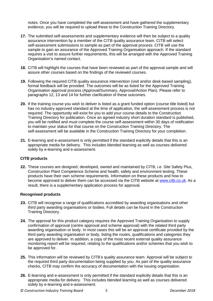notes. Once you have completed the self-assessment and have gathered the supplementary evidence, you will be required to upload these to the Construction Training Directory.

- **17.** The submitted self-assessments and supplementary evidence will then be subject to a quality assurance intervention by a member of the CITB quality assurance team. CITB will select self-assessment submissions to sample as part of the approval process. CITB will use the sample to gain an assurance of the Approved Training Organisation approach. If the standard requires a visit to assure further requirements, this will be arranged with the Approved Training Organisation's named contact.
- **18.** CITB will highlight the courses that have been reviewed as part of the approval sample and will assure other courses based on the findings of the reviewed courses.
- **19.** Following the required CITB quality assurance intervention (visit and/or desk-based sampling), formal feedback will be provided. The outcomes will be as listed for the Approved Training Organisation approval process (Approval/Summary, Approval/Action Plan). Please refer to paragraphs 12, 13 and 14 for further clarification of these outcomes.
- **20.** If the training course you wish to deliver is listed as a grant funded option (course title listed) but has no industry approved standard at the time of application, the self-assessment process is not required. The opportunity will exist for you to add your course details to the Construction Training Directory for publication. Once an agreed industry short duration standard is published, you will be notified and must complete the course self-assessment within 30 days of notification to maintain your status for that course on the Construction Training Directory. The self-assessment will be available in the Construction Training Directory for your completion.
- **21.** E-learning and e-assessment is only permitted if the standard explicitly details that this is an appropriate media for delivery. This includes blended learning as well as courses delivered solely by e-learning and e-assessment.

#### **CITB products**

**22.** These courses are designed, developed, owned and maintained by CITB, i.e. Site Safety Plus, Construction Plant Competence Scheme and health, safety and environment testing. These products have their own scheme requirements. Information on these products and how to become approved to deliver them can be accessed via the CITB website at [www.citb.co.uk](http://www.citb.co.uk/). As a result, there is a supplementary application process for approval.

#### **Recognised products**

- **23.** CITB will recognise a range of qualifications accredited by awarding organisations and other third party awarding organisations or bodies. Full details can be found in the Construction Training Directory.
- **24.** The approval for this product category requires the Approved Training Organisation to supply confirmation of approval (centre approval and scheme approval) with the related third party awarding organisation or body. In most cases this will be an approval certificate provided by the third party awarding organisation or body, listing the routes, qualifications and categories they are approved to deliver. In addition, a copy of the most recent external quality assurance monitoring report will be required, relating to the qualifications and/or schemes that you wish to be approved for.
- **25.** This information will be reviewed by CITB's quality assurance team. Approval will be subject to the required third party documentation being supplied by you. As part of the quality assurance checks, CITB may confirm the accuracy of documentation with the issuing organisation.
- **26.** E-learning and e-assessment is only permitted if the standard explicitly details that this is an appropriate media for delivery. This includes blended learning as well as courses delivered solely by e-learning and e-assessment.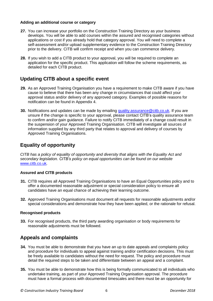#### **Adding an additional course or category**

- **27.** You can increase your portfolio on the Construction Training Directory as your business develops. You will be able to add courses within the assured and recognised categories without applications or cost if you already hold that category approval. You will need to complete a self-assessment and/or upload supplementary evidence to the Construction Training Directory prior to the delivery. CITB will confirm receipt and when you can commence delivery.
- **28.** If you wish to add a CITB product to your approval, you will be required to complete an application for the specific product. This application will follow the scheme requirements, as detailed for each CITB product.

# **Updating CITB about a specific event**

- **29.** As an Approved Training Organisation you have a requirement to make CITB aware if you have cause to believe that there has been any change in circumstances that could affect your approval status and/or delivery of any approved category. Examples of possible reasons for notification can be found in Appendix 4.
- **30.** Notifications and updates can be made by emailing [quality.assurance@citb.co.uk.](mailto:quality.assurance@citb.co.uk) If you are unsure if the change is specific to your approval, please contact CITB's quality assurance team to confirm and/or gain guidance. Failure to notify CITB immediately of a change could result in the suspension of your Approved Training Organisation. CITB will investigate all sources of information supplied by any third party that relates to approval and delivery of courses by Approved Training Organisations.

# **Equality of opportunity**

*CITB has a policy of equality of opportunity and diversity that aligns with the Equality Act and secondary legislation. CITB's policy on equal opportunities can be found on our website*  [www.citb.co.uk](http://www.citb.co.uk/)*.*

#### **Assured and CITB products**

- **31.** CITB requires all Approved Training Organisations to have an Equal Opportunities policy and to offer a documented reasonable adjustment or special consideration policy to ensure all candidates have an equal chance of achieving their learning outcome.
- **32.** Approved Training Organisations must document all requests for reasonable adjustments and/or special considerations and demonstrate how they have been applied, or the rationale for refusal.

#### **Recognised products**

**33.** For recognised products, the third party awarding organisation or body requirements for reasonable adjustments must be followed.

### **Appeals and complaints**

- **34.** You must be able to demonstrate that you have an up to date appeals and complaints policy and procedure for individuals to appeal against training and/or certification decisions. This must be freely available to candidates without the need for request. The policy and procedure must detail the required steps to be taken and differentiate between an appeal and a complaint.
- **35.** You must be able to demonstrate how this is being formally communicated to all individuals who undertake training, as part of your Approved Training Organisation approval. The procedure must have a formal process with documented timescales and there must be an opportunity for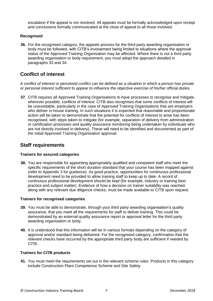escalation if the appeal is not resolved. All appeals must be formally acknowledged upon receipt and conclusions formally communicated at the close of appeal to all those involved.

#### **Recognised**

**36.** For the recognised category, the appeals process for the third party awarding organisation or body must be followed, with CITB's involvement being limited to situations where the approval status of the Approved Training Organisation may be affected. Where there is not a third party awarding organisation or body requirement, you must adopt the approach detailed in paragraphs 33 and 34.

### **Conflict of interest**

*A conflict of interest or perceived conflict can be defined as a situation in which a person has private or personal interest sufficient to appear to influence the objective exercise of his/her official duties.*

**37.** CITB requires all Approved Training Organisations to have processes to recognise and mitigate, wherever possible, conflicts of interest. CITB also recognises that some conflicts of interest will be unavoidable, particularly in the case of Approved Training Organisations that are employers who deliver in-house training. In such situations it is expected that reasonable and proportionate action will be taken to demonstrate that the potential for conflicts of interest to arise has been recognised, with steps taken to mitigate (for example, separation of delivery from administration or certification processes and quality assurance monitoring being undertaken by individuals who are not directly involved in delivery). These will need to be identified and documented as part of the initial Approved Training Organisation approval.

### **Staff requirements**

#### **Trainers for assured categories**

**38.** You are responsible for appointing appropriately qualified and competent staff who meet the specific requirements of the short duration standard that your course has been mapped against (refer to Appendix 3 for guidance). As good practice, opportunities for continuous professional development need to be provided to allow training staff to keep up to date. A record of continuous professional development should be kept (for example, industry or training best practice and subject matter). Evidence of how a decision on trainer suitability was reached, along with any relevant due diligence checks, must be made available to CITB upon request.

#### **Trainers for recognised categories**

- **39.** You must be able to demonstrate, through your third party awarding organisation's quality assurance, that you meet all the requirements for staff to deliver training. This could be demonstrated by an external quality assurance report or approval letter for the third party awarding organisation or body.
- **40.** It is understood that this information will be in various formats depending on the category of approval and/or standard being delivered. For the recognised category, confirmation that the relevant checks have occurred by the appropriate third party body are sufficient if needed by CITB.

#### **Trainers for CITB products**

**41.** You must meet the requirements set out in the relevant scheme rules. Products in this category include Construction Plant Competence Scheme and Site Safety.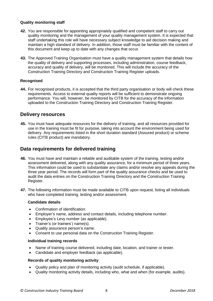#### **Quality monitoring staff**

- **42.** You are responsible for appointing appropriately qualified and competent staff to carry out quality monitoring and the management of your quality management system. It is expected that staff undertaking this role will have necessary subject knowledge to aid decision making and maintain a high standard of delivery. In addition, those staff must be familiar with the content of this document and keep up to date with any changes that occur.
- **43.** The Approved Training Organisation must have a quality management system that details how the quality of delivery and supporting processes, including administration, course feedback, accuracy and quality of delivery, will be monitored. This will include the accuracy of the Construction Training Directory and Construction Training Register uploads.

#### **Recognised**

**44.** For recognised products, it is accepted that the third party organisation or body will check these requirements. Access to external quality reports will be sufficient to demonstrate ongoing performance. You will, however, be monitored by CITB for the accuracy of the information uploaded to the Construction Training Directory and Construction Training Register.

### **Delivery resources**

**45.** You must have adequate resources for the delivery of training, and all resources provided for use in the training must be fit for purpose, taking into account the environment being used for delivery. Any requirements listed in the short duration standard (Assured product) or scheme rules (CITB product) are mandatory.

### **Data requirements for delivered training**

- **46.** You must have and maintain a reliable and auditable system of the training, testing and/or assessment delivered, along with any quality assurance, for a minimum period of three years. This information could be used to substantiate any claims and/or resolve any appeals during the three year period. The records will form part of the quality assurance checks and be used to audit the data entries on the Construction Training Directory and the Construction Training Register.
- **47.** The following information must be made available to CITB upon request, listing all individuals who have completed training, testing and/or assessment.

#### **Candidate details**

- Confirmation of identification.
- Employer's name, address and contact details, including telephone number.
- Employee's Levy number (as applicable).
- Trainer's (or trainers') name(s).
- Quality assurance person's name.
- Consent to use personal data on the Construction Training Register.

#### **Individual training records**

- Name of training course delivered, including date, location, and trainer or tester.
- Candidate and employer feedback (as applicable).

#### **Records of quality monitoring activity**

- Quality policy and plan of monitoring activity (audit schedule, if applicable).
- Quality monitoring activity details, including who, what and when (for example, audits).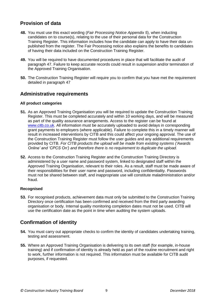# **Provision of data**

- **48.** You must use this exact wording (*Fair Processing Notice Appendix 5*), when inducting candidates on to course(s), relating to the use of their personal data for the Construction Training Register. This information includes how the candidate can apply to have their data unpublished from the register. The Fair Processing notice also explains the benefits to candidates of having their data included on the Construction Training Register.
- **49.** You will be required to have documented procedures in place that will facilitate the audit of paragraph 47. Failure to keep accurate records could result in suspension and/or termination of the Approved Training Organisation.
- **50.** The Construction Training Register will require you to confirm that you have met the requirement detailed in paragraph 47

### **Administrative requirements**

#### **All product categories**

- **51.** As an Approved Training Organisation you will be required to update the Construction Training Register. This must be completed accurately and within 10 working days, and will be measured as part of the quality assurance arrangements. Access to the register can be found at [www.citb.co.uk.](http://www.my.citb.co.uk/) All information must be accurately uploaded to avoid delays in corresponding grant payments to employers (where applicable). Failure to complete this in a timely manner will result in increased interventions by CITB and this could affect your ongoing approval. The use of the Construction Training Register must follow the user guides and any additional requirements provided by CITB. *For CITB products the upload will be made from existing systems ('Awards Online' and 'CPCS On') and therefore there is no requirement to duplicate the upload.*
- **52.** Access to the Construction Training Register and the Construction Training Directory is administered by a user name and password system, linked to designated staff within the Approved Training Organisation, relevant to their roles. As a result, staff must be made aware of their responsibilities for their user name and password, including confidentiality. Passwords must not be shared between staff, and inappropriate use will constitute maladministration and/or fraud.

#### **Recognised**

**53.** For recognised products, achievement data must only be submitted to the Construction Training Directory once certification has been confirmed and received from the third party awarding organisation or body. Internal quality monitoring completion dates must not be used. CITB will use the certification date as the point in time when auditing the system uploads.

# **Confirmation of identity**

- **54.** You must carry out appropriate checks to confirm the identity of candidates undertaking training, testing and assessment.
- **55.** Where an Approved Training Organisation is delivering to its own staff (for example, in-house training) and if confirmation of identity is already held as part of the routine recruitment and right to work, further information is not required. This information must be available for CITB audit purposes, if requested.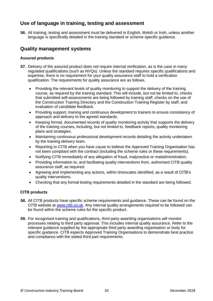## **Use of language in training, testing and assessment**

**56.** All training, testing and assessment must be delivered in English, Welsh or Irish, unless another language is specifically detailed in the training standard or scheme specific guidance.

### **Quality management systems**

#### **Assured products**

- **57.** Delivery of the assured product does not require internal verification, as is the case in many regulated qualifications (such as NVQs). Unless the standard requires specific qualifications and expertise, there is no requirement for your quality assurance staff to hold a verification qualification. The requirements for quality assurance are as follows.
	- Providing the relevant levels of quality monitoring to support the delivery of the training course, as required by the training standard. This will include, but not be limited to, checks that submitted self-assessments are being followed by training staff, checks on the use of the Construction Training Directory and the Construction Training Register by staff, and evaluation of candidate feedback.
	- Providing support, training and continuous development to trainers to ensure consistency of approach and delivery to the agreed standards.
	- Keeping formal, documented records of quality monitoring activity that supports the delivery of the training courses, including, but not limited to, feedback reports, quality monitoring plans and strategies.
	- Maintaining continuous professional development records detailing the activity undertaken by the training delivery team.
	- Reporting to CITB when you have cause to believe the Approved Training Organisation has not been compliant with the contract (including the scheme rules or these requirements).
	- Notifying CITB immediately of any allegation of fraud, malpractice or maladministration.
	- Providing information to, and facilitating quality interventions from, authorised CITB quality assurance staff, as required.
	- Agreeing and implementing any actions, within timescales identified, as a result of CITB's quality interventions.
	- Checking that any formal testing requirements detailed in the standard are being followed.

#### **CITB products**

- **58.** All CITB products have specific scheme requirements and guidance. These can be found on the CITB website at [www.citb.co.uk.](http://www.citb.co.uk/) Any internal quality arrangements required to be followed can be found within the scheme rules for the specific product.
- **59.** For recognised training and qualifications, third party awarding organisations will monitor processes relating to third party approval. This includes internal quality assurance. Refer to the relevant guidance supplied by the appropriate third party awarding organisation or body for specific guidance. CITB expects Approved Training Organisations to demonstrate best practice and compliance with the stated third part requirements.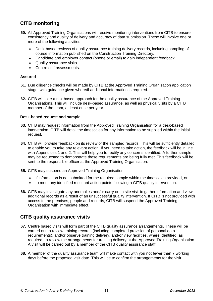# **CITB monitoring**

- **60.** All Approved Training Organisations will receive monitoring interventions from CITB to ensure consistency and quality of delivery and accuracy of data submission. These will involve one or more of the following activities.
	- Desk-based reviews of quality assurance training delivery records, including sampling of course information published on the Construction Training Directory.
	- Candidate and employer contact (phone or email) to gain independent feedback.
	- Quality assurance visits.
	- Centre self-assessments.

#### **Assured**

- **61.** Due diligence checks will be made by CITB at the Approved Training Organisation application stage, with guidance given where/if additional information is required.
- **62.** CITB will take a risk-based approach for the quality assurance of the Approved Training Organisations. This will include desk-based assurance, as well as physical visits by a CITB member of the team, at least once per year.

#### **Desk-based request and sample**

- **63.** CITB may request information from the Approved Training Organisation for a desk-based intervention. CITB will detail the timescales for any information to be supplied within the initial request.
- **64.** CITB will provide feedback on its review of the sampled records. This will be sufficiently detailed to enable you to take any relevant action. If you need to take action, the feedback will be in line with Appendices 1 and 2. This will help you to rectify any concerns identified. A further sample may be requested to demonstrate these requirements are being fully met. This feedback will be sent to the responsible officer at the Approved Training Organisation.
- **65.** CITB may suspend an Approved Training Organisation:
	- if information is not submitted for the required sample within the timescales provided, or
	- to meet any identified resultant action points following a CITB quality intervention.
- **66.** CITB may investigate any anomalies and/or carry out a site visit to gather information and view additional records as a result of an unsuccessful quality intervention. If CITB is not provided with access to the premises, people and records, CITB will suspend the Approved Training Organisation with immediate effect.

### **CITB quality assurance visits**

- **67.** Centre based visits will form part of the CITB quality assurance arrangements. These will be carried out to review training records (including completed provision of personal data requirements), and/or observe training delivery, and/or view facilities, where identified, as required, to review the arrangements for training delivery at the Approved Training Organisation. A visit will be carried out by a member of the CITB quality assurance staff.
- **68.** A member of the quality assurance team will make contact with you not fewer than 7 working days before the proposed visit date. This will be to confirm the arrangements for the visit.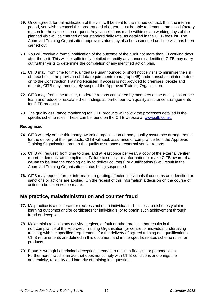- **69.** Once agreed, formal notification of the visit will be sent to the named contact. If, in the interim period, you wish to cancel this prearranged visit, you must be able to demonstrate a satisfactory reason for the cancellation request. Any cancellations made within seven working days of the planned visit will be charged at our standard daily rate, as detailed in the CITB fees list. The Approved Training Organisation approval status may also be suspended until the visit has been carried out.
- **70.** You will receive a formal notification of the outcome of the audit not more than 10 working days after the visit. This will be sufficiently detailed to rectify any concerns identified. CITB may carry out further visits to determine the completion of any identified action plan.
- **71.** CITB may, from time to time, undertake unannounced or short notice visits to minimise the risk of breaches in the provision of data requirements (paragraph 45) and/or unsubstantiated entries on to the Construction Training Register. If access is not provided to premises, people and records, CITB may immediately suspend the Approved Training Organisation.
- **72.** CITB may, from time to time, moderate reports completed by members of the quality assurance team and reduce or escalate their findings as part of our own quality assurance arrangements for CITB products.
- **73.** The quality assurance monitoring for CITB products will follow the processes detailed in the specific scheme rules. These can be found on the CITB website at [www.citb.co.uk.](http://www.citb.co.uk/)

#### **Recognised**

- **74.** CITB will rely on the third party awarding organisation or body quality assurance arrangements for the delivery of their products. CITB will seek assurance of compliance from the Approved Training Organisation through the quality assurance or external verifier reports.
- **75.** CITB will request, from time to time, and at least once per year, a copy of the external verifier report to demonstrate compliance. Failure to supply this information or make CITB aware of a **cause to believe** the ongoing ability to deliver course(s) or qualification(s) will result in the Approved Training Organisation status being suspended.
- **76.** CITB may request further information regarding affected individuals if concerns are identified or sanctions or actions are applied. On the receipt of this information a decision on the course of action to be taken will be made.

### **Malpractice, maladministration and counter fraud**

- **77.** Malpractice is a deliberate or reckless act of an individual or business to dishonesty claim learning outcomes and/or certificates for individuals, or to obtain such achievement through fraud or deception.
- **78.** Maladministration is any activity, neglect, default or other practice that results in the non-compliance of the Approved Training Organisation (or centre, or individual undertaking training) with the specified requirements for the delivery of agreed training and qualifications. CITB requirements are defined in this document and in the specific related scheme rules for products.
- **79.** Fraud is wrongful or criminal deception intended to result in financial or personal gain. Furthermore, fraud is an act that does not comply with CITB conditions and brings the authenticity, reliability and integrity of training into question.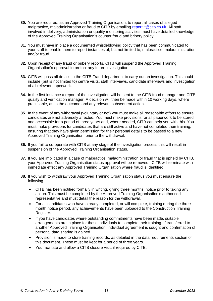- **80.** You are required, as an Approved Training Organisation, to report all cases of alleged malpractice, maladministration or fraud to CITB by emailing [report.it@citb.co.uk.](mailto:report.it@citb.co.uk) All staff involved in delivery, administration or quality monitoring activities must have detailed knowledge of the Approved Training Organisation's counter fraud and bribery policy.
- **81.** You must have in place a documented whistleblowing policy that has been communicated to your staff to enable them to report instances of, but not limited to, malpractice, maladministration and/or fraud.
- **82.** Upon receipt of any fraud or bribery reports, CITB will suspend the Approved Training Organisation's approval to protect any future investigation.
- **83.** CITB will pass all details to the CITB Fraud department to carry out an investigation. This could include (but is not limited to) centre visits, staff interviews, candidate interviews and investigation of all relevant paperwork.
- **84.** In the first instance a report of the investigation will be sent to the CITB fraud manager and CITB quality and verification manager. A decision will then be made within 10 working days, where practicable, as to the outcome and any relevant subsequent action.
- **85.** In the event of any withdrawal (voluntary or not) you must make all reasonable efforts to ensure candidates are not adversely affected. You must make provisions for all paperwork to be stored and accessible for a period of three years and, where needed, CITB can help you with this. You must make provisions for candidates that are still active and have not completed their training, ensuring that they have given permission for their personal details to be passed to a new Approved Training Organisation, prior to the withdrawal.
- **86.** If you fail to co-operate with CITB at any stage of the investigation process this will result in suspension of the Approved Training Organisation status.
- **87.** If you are implicated in a case of malpractice, maladministration or fraud that is upheld by CITB, your Approved Training Organisation status approval will be removed. CITB will terminate with immediate effect any Approved Training Organisation where fraud is identified.
- **88.** If you wish to withdraw your Approved Training Organisation status you must ensure the following.
	- CITB has been notified formally in writing, giving three months' notice prior to taking any action. This must be completed by the Approved Training Organisation's authorised representative and must detail the reason for the withdrawal.
	- For all candidates who have already completed, or will complete, training during the three month notice period, any achievements have been uploaded to the Construction Training Register.
	- If you have candidates where outstanding commitments have been made, suitable arrangements are in place for these individuals to complete their training. If transferred to another Approved Training Organisation, individual agreement is sought and confirmation of personal data sharing is gained.
	- Provision is made to store training records, as detailed in the data requirements section of this document. These must be kept for a period of three years.
	- You facilitate and allow a CITB closure visit, if required by CITB.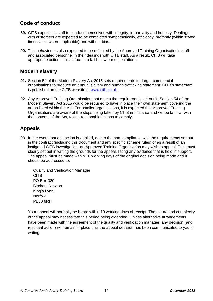### **Code of conduct**

- **89.** CITB expects its staff to conduct themselves with integrity, impartiality and honesty. Dealings with customers are expected to be completed sympathetically, efficiently, promptly (within stated timescales, where applicable) and without bias.
- **90.** This behaviour is also expected to be reflected by the Approved Training Organisation's staff and associated personnel in their dealings with CITB staff. As a result, CITB will take appropriate action if this is found to fall below our expectations.

### **Modern slavery**

- **91.** Section 54 of the Modern Slavery Act 2015 sets requirements for large, commercial organisations to produce an annual slavery and human trafficking statement. CITB's statement is published on the CITB website at [www.citb.co.uk.](http://www.citb.co.uk/)
- **92.** Any Approved Training Organisation that meets the requirements set out in Section 54 of the Modern Slavery Act 2015 would be required to have in place their own statement covering the areas listed within the Act. For smaller organisations, it is expected that Approved Training Organisations are aware of the steps being taken by CITB in this area and will be familiar with the contents of the Act, taking reasonable actions to comply.

# **Appeals**

**93.** In the event that a sanction is applied, due to the non-compliance with the requirements set out in the contract (including this document and any specific scheme rules) or as a result of an instigated CITB investigation, an Approved Training Organisation may wish to appeal. This must clearly set out in writing the grounds for the appeal, listing any evidence that is held in support. The appeal must be made within 10 working days of the original decision being made and it should be addressed to:

Quality and Verification Manager CITB PO Box 320 Bircham Newton King's Lynn Norfolk PE30 6RH

Your appeal will normally be heard within 10 working days of receipt. The nature and complexity of the appeal may necessitate this period being extended. Unless alternative arrangements have been made with the agreement of the quality and verification manager, any decision (and resultant action) will remain in place until the appeal decision has been communicated to you in writing.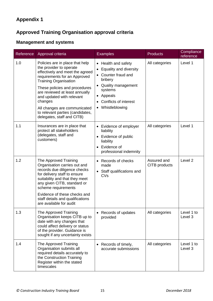# **Approved Training Organisation approval criteria**

# **Management and systems**

| Reference | Approval criteria                                                                                                                                                                                                                                                                                                                                                          | <b>Examples</b>                                                                                                                                                                             | <b>Products</b>              | Compliance<br>reference |
|-----------|----------------------------------------------------------------------------------------------------------------------------------------------------------------------------------------------------------------------------------------------------------------------------------------------------------------------------------------------------------------------------|---------------------------------------------------------------------------------------------------------------------------------------------------------------------------------------------|------------------------------|-------------------------|
| 1.0       | Policies are in place that help<br>the provider to operate<br>effectively and meet the agreed<br>requirements for an Approved<br><b>Training Organisation</b><br>These policies and procedures<br>are reviewed at least annually<br>and updated with relevant<br>changes<br>All changes are communicated<br>to relevant parties (candidates,<br>delegates, staff and CITB) | • Health and safety<br>• Equality and diversity<br>• Counter fraud and<br>bribery<br>• Quality management<br>systems<br>• Appeals<br>Conflicts of interest<br>$\bullet$<br>• Whistleblowing | All categories               | Level 1                 |
| 1.1       | Insurances are in place that<br>protect all stakeholders<br>(delegates, staff and<br>customers)                                                                                                                                                                                                                                                                            | • Evidence of employer<br>liability<br>• Evidence of public<br>liability<br>Evidence of<br>$\bullet$<br>professional indemnity                                                              | All categories               | Level 1                 |
| 1.2       | The Approved Training<br>Organisation carries out and<br>records due diligence checks<br>for delivery staff to ensure<br>suitability and that they meet<br>any given CITB, standard or<br>scheme requirements<br>Evidence of these checks and<br>staff details and qualifications<br>are available for audit                                                               | • Records of checks<br>made<br>• Staff qualifications and<br>CVs                                                                                                                            | Assured and<br>CITB products | Level <sub>2</sub>      |
| 1.3       | The Approved Training<br>Organisation keeps CITB up to<br>date with any changes that<br>could affect delivery or status<br>of the provider. Guidance is<br>sought if any uncertainty exists                                                                                                                                                                                | Records of updates<br>provided                                                                                                                                                              | All categories               | Level 1 to<br>Level 3   |
| 1.4       | The Approved Training<br>Organisation submits all<br>required details accurately to<br>the Construction Training<br>Register within the stated<br>timescales                                                                                                                                                                                                               | • Records of timely,<br>accurate submissions                                                                                                                                                | All categories               | Level 1 to<br>Level 3   |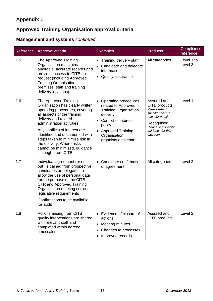# **Approved Training Organisation approval criteria**

# **Management and systems** *continued*

| Reference | Approval criteria                                                                                                                                                                                                                                                                                                                                                          | <b>Examples</b>                                                                                                                                                                                              | <b>Products</b>                                                                                                                                              | Compliance<br>reference |
|-----------|----------------------------------------------------------------------------------------------------------------------------------------------------------------------------------------------------------------------------------------------------------------------------------------------------------------------------------------------------------------------------|--------------------------------------------------------------------------------------------------------------------------------------------------------------------------------------------------------------|--------------------------------------------------------------------------------------------------------------------------------------------------------------|-------------------------|
| 1.5       | The Approved Training<br>Organisation maintains<br>auditable, accurate records and<br>provides access to CITB on<br>request (including Approved<br><b>Training Organisation</b><br>premises, staff and training<br>delivery locations)                                                                                                                                     | Training delivery staff<br>$\bullet$<br>Candidate and delegate<br>information<br>Quality assurance                                                                                                           | All categories                                                                                                                                               | Level 1 to<br>Level 3   |
| 1.6       | The Approved Training<br>Organisation has clearly written<br>operating procedures, covering<br>all aspects of the training<br>delivery and related<br>administration activities<br>Any conflicts of interest are<br>identified and documented with<br>steps taken to minimise risk in<br>the delivery. Where risks<br>cannot be minimised, guidance<br>is sought from CITB | • Operating procedures<br>related to Approved<br><b>Training Organisation</b><br>delivery<br>Conflict of interest<br>policy<br><b>Approved Training</b><br>$\bullet$<br>Organisation<br>organisational chart | Assured and<br>CITB products<br>Please refer to<br>specific scheme<br>rules for detail<br>Recognised<br>Please see specific<br>guidance for this<br>category | Level 1                 |
| 1.7       | Individual agreement (or opt<br>out) is gained from prospective<br>candidates or delegates to<br>allow the use of personal data<br>for the purpose of the CITB,<br><b>CTR and Approved Training</b><br>Organisation meeting current<br>legislative requirements<br>Confirmations to be available<br>for audit                                                              | Candidate confirmations<br>of agreement                                                                                                                                                                      | All categories                                                                                                                                               | Level <sub>2</sub>      |
| 1.8       | Actions arising from CITB<br>quality interventions are shared<br>with relevant staff and<br>completed within agreed<br>timescales                                                                                                                                                                                                                                          | Evidence of closure of<br>actions<br>Meeting minutes<br>$\bullet$<br>Changes to processes<br>Improved records                                                                                                | Assured and<br>CITB products                                                                                                                                 | Level <sub>2</sub>      |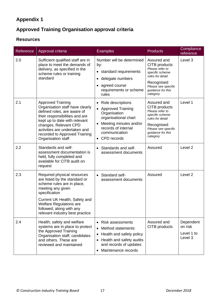# **Approved Training Organisation approval criteria**

### **Resources**

| Reference | Approval criteria                                                                                                                                                                                                                                                              | <b>Examples</b>                                                                                                                                                                               | <b>Products</b>                                                                                                                                              | Compliance<br>reference                       |
|-----------|--------------------------------------------------------------------------------------------------------------------------------------------------------------------------------------------------------------------------------------------------------------------------------|-----------------------------------------------------------------------------------------------------------------------------------------------------------------------------------------------|--------------------------------------------------------------------------------------------------------------------------------------------------------------|-----------------------------------------------|
| 2.0       | Sufficient qualified staff are in<br>place to meet the demands of<br>delivery, as specified in the<br>scheme rules or training<br>standard                                                                                                                                     | Number will be determined<br>by:<br>• standard requirements<br>· delegate numbers<br>• agreed course<br>requirements or scheme<br>rules                                                       | Assured and<br>CITB products<br>Please refer to<br>specific scheme<br>rules for detail<br>Recognised<br>Please see specific<br>guidance for this<br>category | Level 3                                       |
| 2.1       | <b>Approved Training</b><br>Organisation staff have clearly<br>defined roles, are aware of<br>their responsibilities and are<br>kept up to date with relevant<br>changes. Relevant CPD<br>activities are undertaken and<br>recorded to Approved Training<br>Organisation staff | • Role descriptions<br>• Approved Training<br>Organisation<br>organisational chart<br>Meeting minutes and/or<br>$\bullet$<br>records of internal<br>communication<br>CPD records<br>$\bullet$ | Assured and<br>CITB products<br>Please refer to<br>specific scheme<br>rules for detail<br>Recognised<br>Please see specific<br>guidance for this<br>category | Level 1                                       |
| 2.2       | Standards and self-<br>assessment documentation is<br>held, fully completed and<br>available for CITB audit on<br>request                                                                                                                                                      | • Standards and self-<br>assessment documents                                                                                                                                                 | Assured                                                                                                                                                      | Level <sub>2</sub>                            |
| 2.3       | Required physical resources<br>are listed by the standard or<br>scheme rules are in place,<br>meeting any given<br>specification<br>Current UK Health, Safety and<br><b>Welfare Regulations are</b><br>followed, along with any<br>relevant industry best practice             | • Standard self-<br>assessment documents                                                                                                                                                      | Assured                                                                                                                                                      | Level <sub>2</sub>                            |
| 2.4       | Health, safety and welfare<br>systems are in place to protect<br>the Approved Training<br>Organisation staff, candidates<br>and others. These are<br>reviewed and maintained                                                                                                   | • Risk assessments<br>Method statements<br>Health and safety policy<br>$\bullet$<br>Health and safety audits<br>and records of updates<br>Maintenance records                                 | Assured and<br>CITB products                                                                                                                                 | Dependent<br>on risk<br>Level 1 to<br>Level 3 |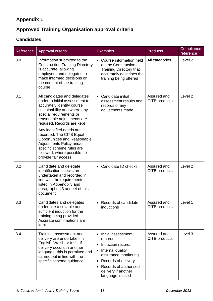# **Approved Training Organisation approval criteria**

# **Candidates**

| Reference | Approval criteria                                                                                                                                                                                                                                                                                                                                                                                                           | <b>Examples</b>                                                                                                                                                                                                       | <b>Products</b>              | Compliance<br>reference |
|-----------|-----------------------------------------------------------------------------------------------------------------------------------------------------------------------------------------------------------------------------------------------------------------------------------------------------------------------------------------------------------------------------------------------------------------------------|-----------------------------------------------------------------------------------------------------------------------------------------------------------------------------------------------------------------------|------------------------------|-------------------------|
| 3.0       | Information submitted to the<br><b>Construction Training Directory</b><br>is accurate, allowing<br>employers and delegates to<br>make informed decisions on<br>the content of the training<br>course                                                                                                                                                                                                                        | • Course information held<br>on the Construction<br><b>Training Directory that</b><br>accurately describes the<br>training being offered                                                                              | All categories               | Level <sub>2</sub>      |
| 3.1       | All candidates and delegates<br>undergo initial assessment to<br>accurately identify course<br>sustainability and where any<br>special requirements or<br>reasonable adjustments are<br>required. Records are kept<br>Any identified needs are<br>recorded. The CITB Equal<br>Opportunities and Reasonable<br>Adjustments Policy and/or<br>specific scheme rules are<br>followed, where possible, to<br>provide fair access | • Candidate initial<br>assessment results and<br>records of any<br>adjustments made                                                                                                                                   | Assured and<br>CITB products | Level 2                 |
| 3.2       | Candidate and delegate<br>identification checks are<br>undertaken and recorded in<br>line with the requirements<br>listed in Appendix 3 and<br>paragraphs 43 and 44 of this<br>document                                                                                                                                                                                                                                     | Candidate ID checks                                                                                                                                                                                                   | Assured and<br>CITB products | Level <sub>2</sub>      |
| 3.3       | Candidates and delegates<br>undertake a suitable and<br>sufficient induction for the<br>training being provided.<br>Accurate confirmations are<br>kept                                                                                                                                                                                                                                                                      | • Records of candidate<br>inductions                                                                                                                                                                                  | Assured and<br>CITB products | Level 1                 |
| 3.4       | Training, assessment and<br>delivery are undertaken in<br>English, Welsh or Irish. If<br>delivery occurs in another<br>language, this is permitted and<br>carried out in line with the<br>specific scheme guidance                                                                                                                                                                                                          | • Initial assessment<br>records<br>Induction records<br>$\bullet$<br>Internal quality<br>assurance monitoring<br>Records of delivery<br>$\bullet$<br>Records of authorised<br>delivery if another<br>language is used | Assured and<br>CITB products | Level 3                 |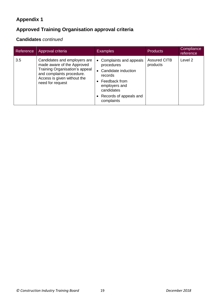# **Approved Training Organisation approval criteria**

# **Candidates** *continued*

| Reference | Approval criteria                                                                                                                                                            | <b>Examples</b>                                                                                                                                                               | <b>Products</b>                 | Compliance<br>reference |
|-----------|------------------------------------------------------------------------------------------------------------------------------------------------------------------------------|-------------------------------------------------------------------------------------------------------------------------------------------------------------------------------|---------------------------------|-------------------------|
| 3.5       | Candidates and employers are<br>made aware of the Approved<br>Training Organisation's appeal<br>and complaints procedure.<br>Access is given without the<br>need for request | Complaints and appeals<br>$\bullet$<br>procedures<br>Candidate induction<br>records<br>Feedback from<br>employers and<br>candidates<br>• Records of appeals and<br>complaints | <b>Assured CITB</b><br>products | Level 2                 |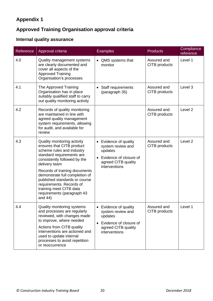# **Approved Training Organisation approval criteria**

# **Internal quality assurance**

| Reference | Approval criteria                                                                                                                                                                                                                                                                                                                                                         | <b>Examples</b>                                                                                                                    | <b>Products</b>              | Compliance<br>reference |
|-----------|---------------------------------------------------------------------------------------------------------------------------------------------------------------------------------------------------------------------------------------------------------------------------------------------------------------------------------------------------------------------------|------------------------------------------------------------------------------------------------------------------------------------|------------------------------|-------------------------|
| 4.0       | Quality management systems<br>are clearly documented and<br>cover all aspects of the<br><b>Approved Training</b><br>Organisation's processes                                                                                                                                                                                                                              | • QMS systems that<br>monitor                                                                                                      | Assured and<br>CITB products | Level 1                 |
| 4.1       | The Approved Training<br>Organisation has in place<br>suitably qualified staff to carry<br>out quality monitoring activity                                                                                                                                                                                                                                                | Staff requirements<br>(paragraph 35)                                                                                               | Assured and<br>CITB products | Level 3                 |
| 4.2       | Records of quality monitoring<br>are maintained in line with<br>agreed quality management<br>system requirements, allowing<br>for audit, and available for<br>review                                                                                                                                                                                                      |                                                                                                                                    | Assured and<br>CITB products | Level <sub>2</sub>      |
| 4.3       | Quality monitoring activity<br>ensures that CITB product<br>scheme rules and industry<br>standard requirements are<br>consistently followed by the<br>delivery team<br>Records of training documents<br>demonstrate full completion of<br>published standards or course<br>requirements. Records of<br>training meet CITB data<br>requirements (paragraph 43<br>and $44)$ | • Evidence of quality<br>system review and<br>updates<br>Evidence of closure of<br>agreed CITB quality<br>interventions            | Assured and<br>CITB products | Level <sub>2</sub>      |
| 4.4       | Quality monitoring systems<br>and processes are regularly<br>reviewed, with changes made<br>to improve, where needed<br>Actions from CITB quality<br>interventions are actioned and<br>used to update internal<br>processes to avoid repetition<br>or reoccurrence                                                                                                        | Evidence of quality<br>system review and<br>updates<br>Evidence of closure of<br>$\bullet$<br>agreed CITB quality<br>interventions | Assured and<br>CITB products | Level 1                 |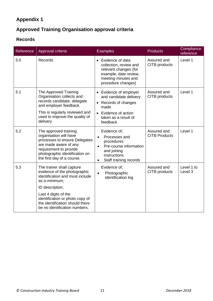# **Approved Training Organisation approval criteria**

### **Records**

| Reference | Approval criteria                                                                                                                                                                                   | <b>Examples</b>                                                                                                                                        | <b>Products</b>                     | Compliance<br>reference |
|-----------|-----------------------------------------------------------------------------------------------------------------------------------------------------------------------------------------------------|--------------------------------------------------------------------------------------------------------------------------------------------------------|-------------------------------------|-------------------------|
| 5.0       | Records                                                                                                                                                                                             | Evidence of data<br>$\bullet$<br>collection, review and<br>relevant changes (for<br>example, date review,<br>meeting minutes and<br>procedure changes) | Assured and<br>CITB products        | Level 1                 |
| 5.1       | The Approved Training<br>Organisation collects and<br>records candidate, delegate<br>and employer feedback<br>This is regularly reviewed and<br>used to improve the quality of<br>delivery          | • Evidence of employer<br>and candidate delivery<br>Records of changes<br>$\bullet$<br>made<br>Evidence of action<br>taken as a result of<br>feedback  | Assured and<br>CITB products        | Level 1                 |
| 5.2       | The approved training<br>organisation will have<br>processes to ensure Delegates<br>are made aware of any<br>requirement to provide<br>photographic identification on<br>the first day of a course. | Evidence of;<br>Processes and<br>procedures<br>Pre-course information<br>and joining<br>instructions<br>Staff training records                         | Assured and<br><b>CITB Products</b> | Level 1                 |
| 5.3       | The trainer shall capture<br>evidence of the photographic<br>identification and must include<br>as a minimum;<br>ID description;<br>Last 4 digits of the<br>identification or photo copy of         | Evidence of:<br>Photographic<br>identification log                                                                                                     | Assured and<br>CITB products        | Level 1 to<br>Level 3   |
|           | the identification should there<br>be no identification numbers.                                                                                                                                    |                                                                                                                                                        |                                     |                         |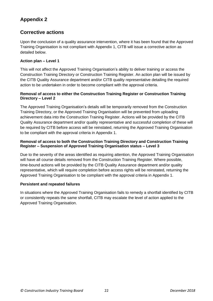# **Corrective actions**

Upon the conclusion of a quality assurance intervention, where it has been found that the Approved Training Organisation is not compliant with Appendix 1, CITB will issue a corrective action as detailed below.

#### **Action plan – Level 1**

This will not affect the Approved Training Organisation's ability to deliver training or access the Construction Training Directory or Construction Training Register. An action plan will be issued by the CITB Quality Assurance department and/or CITB quality representative detailing the required action to be undertaken in order to become compliant with the approval criteria.

#### **Removal of access to either the Construction Training Register or Construction Training Directory – Level 2**

The Approved Training Organisation's details will be temporarily removed from the Construction Training Directory, or the Approved Training Organisation will be prevented from uploading achievement data into the Construction Training Register. Actions will be provided by the CITB Quality Assurance department and/or quality representative and successful completion of these will be required by CITB before access will be reinstated, returning the Approved Training Organisation to be compliant with the approval criteria in Appendix 1.

#### **Removal of access to both the Construction Training Directory and Construction Training Register – Suspension of Approved Training Organisation status – Level 3**

Due to the severity of the areas identified as requiring attention, the Approved Training Organisation will have all course details removed from the Construction Training Register. Where possible, time-bound actions will be provided by the CITB Quality Assurance department and/or quality representative, which will require completion before access rights will be reinstated, returning the Approved Training Organisation to be compliant with the approval criteria in Appendix 1.

#### **Persistent and repeated failures**

In situations where the Approved Training Organisation fails to remedy a shortfall identified by CITB or consistently repeats the same shortfall, CITB may escalate the level of action applied to the Approved Training Organisation.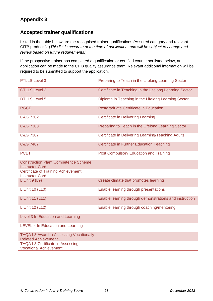## **Accepted trainer qualifications**

Listed in the table below are the recognised trainer qualifications (Assured category and relevant CITB products). (*This list is accurate at the time of publication, and will be subject to change and review based on future requirements.*)

If the prospective trainer has completed a qualification or certified course not listed below, an application can be made to the CITB quality assurance team. Relevant additional information will be required to be submitted to support the application.

| <b>PTLLS Level 3</b>                                                         | Preparing to Teach in the Lifelong Learning Sector      |
|------------------------------------------------------------------------------|---------------------------------------------------------|
| <b>CTLLS Level 3</b>                                                         | Certificate in Teaching in the Lifelong Learning Sector |
| <b>DTLLS Level 5</b>                                                         | Diploma in Teaching in the Lifelong Learning Sector     |
| <b>PGCE</b>                                                                  | Postgraduate Certificate in Education                   |
| C&G 7302                                                                     | <b>Certificate in Delivering Learning</b>               |
| C&G 7303                                                                     | Preparing to Teach in the Lifelong Learning Sector      |
| C&G 7307                                                                     | Certificate in Delivering Learning/Teaching Adults      |
| C&G 7407                                                                     | <b>Certificate in Further Education Teaching</b>        |
| <b>PCET</b>                                                                  | Post Compulsory Education and Training                  |
| <b>Construction Plant Competence Scheme</b><br><b>Instructor Card</b>        |                                                         |
| <b>Certificate of Training Achievement</b><br><b>Instructor Card</b>         |                                                         |
| L Unit $9$ (L9)                                                              | Create climate that promotes learning                   |
| L Unit 10 (L10)                                                              | Enable learning through presentations                   |
| L Unit 11 (L11)                                                              | Enable learning through demonstrations and instruction  |
| L Unit 12 (L12)                                                              | Enable learning through coaching/mentoring              |
| Level 3 In Education and Learning                                            |                                                         |
| LEVEL 4 In Education and Learning                                            |                                                         |
| <b>TAQA L3 Award in Assessing Vocationally</b><br><b>Related Achievement</b> |                                                         |
| <b>TAQA L3 Certificate in Assessing</b><br><b>Vocational Achievement</b>     |                                                         |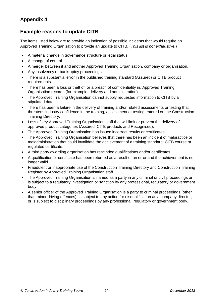## **Example reasons to update CITB**

The items listed below are to provide an indication of possible incidents that would require an Approved Training Organisation to provide an update to CITB. (*This list is not exhaustive.*)

- A material change in governance structure or legal status.
- A change of control.
- A merger between it and another Approved Training Organisation, company or organisation.
- Any insolvency or bankruptcy proceedings.
- There is a substantial error in the published training standard (Assured) or CITB product requirements.
- There has been a loss or theft of, or a breach of confidentiality in, Approved Training Organisation records (for example, delivery and administration).
- The Approved Training Organisation cannot supply requested information to CITB by a stipulated date.
- There has been a failure in the delivery of training and/or related assessments or testing that threatens industry confidence in the training, assessment or testing entered on the Construction Training Directory.
- Loss of key Approved Training Organisation staff that will limit or prevent the delivery of approved product categories (Assured, CITB products and Recognised).
- The Approved Training Organisation has issued incorrect results or certificates.
- The Approved Training Organisation believes that there has been an incident of malpractice or maladministration that could invalidate the achievement of a training standard, CITB course or regulated certificate.
- A third party awarding organisation has rescinded qualifications and/or certificates.
- A qualification or certificate has been returned as a result of an error and the achievement is no longer valid.
- Fraudulent or inappropriate use of the Construction Training Directory and Construction Training Register by Approved Training Organisation staff.
- The Approved Training Organisation is named as a party in any criminal or civil proceedings or is subject to a regulatory investigation or sanction by any professional, regulatory or government body.
- A senior officer of the Approved Training Organisation is a party to criminal proceedings (other than minor driving offences), is subject to any action for disqualification as a company director, or is subject to disciplinary proceedings by any professional, regulatory or government body.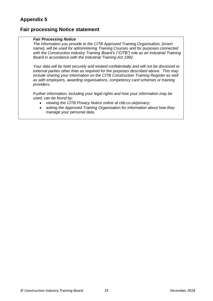### **Fair processing Notice statement**

#### *Fair Processing Notice*

*The information you provide to the CITB Approved Training Organisation, {insert name}, will be used for administering Training Courses and for purposes connected with the Construction Industry Training Board's ("CITB") role as an Industrial Training Board in accordance with the Industrial Training Act 1982.*

*Your data will be held securely and treated confidentially and will not be disclosed to external parties other than as required for the purposes described above. This may include sharing your information on the CITB Construction Training Register as well as with employers, awarding organisations, competency card schemes or training providers.*

*Further information, including your legal rights and how your information may be used, can be found by:*

- *viewing the CITB Privacy Notice online at citb.co.uk/privacy;*
- *asking the Approved Training Organisation for information about how they manage your personal data.*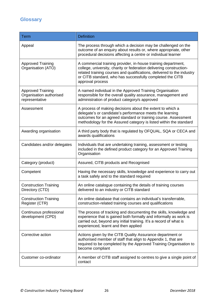# **Glossary**

| <b>Term</b>                                                           | <b>Definition</b>                                                                                                                                                                                                                                                                               |
|-----------------------------------------------------------------------|-------------------------------------------------------------------------------------------------------------------------------------------------------------------------------------------------------------------------------------------------------------------------------------------------|
| Appeal                                                                | The process through which a decision may be challenged on the<br>outcome of an enquiry about results or, where appropriate, other<br>procedural decisions affecting a centre or individual learner                                                                                              |
| <b>Approved Training</b><br>Organisation (ATO)                        | A commercial training provider, in-house training department,<br>college, university, charity or federation delivering construction-<br>related training courses and qualifications, delivered to the industry<br>or CITB standard, who has successfully completed the CITB<br>approval process |
| <b>Approved Training</b><br>Organisation authorised<br>representative | A named individual in the Approved Training Organisation<br>responsible for the overall quality assurance, management and<br>administration of product category/s approved                                                                                                                      |
| Assessment                                                            | A process of making decisions about the extent to which a<br>delegate's or candidate's performance meets the learning<br>outcomes for an agreed standard or training course. Assessment<br>methodology for the Assured category is listed within the standard                                   |
| Awarding organisation                                                 | A third party body that is regulated by OFQUAL, SQA or CECA and<br>awards qualifications                                                                                                                                                                                                        |
| Candidates and/or delegates                                           | Individuals that are undertaking training, assessment or testing<br>included in the defined product category for an Approved Training<br>Organisation                                                                                                                                           |
| Category (product)                                                    | Assured, CITB products and Recognised                                                                                                                                                                                                                                                           |
| Competent                                                             | Having the necessary skills, knowledge and experience to carry out<br>a task safely and to the standard required                                                                                                                                                                                |
| <b>Construction Training</b><br>Directory (CTD)                       | An online catalogue containing the details of training courses<br>delivered to an industry or CITB standard                                                                                                                                                                                     |
| <b>Construction Training</b><br>Register (CTR)                        | An online database that contains an individual's transferrable,<br>construction-related training courses and qualifications                                                                                                                                                                     |
| Continuous professional<br>development (CPD)                          | The process of tracking and documenting the skills, knowledge and<br>experience that is gained both formally and informally as work is<br>carried out, beyond any initial training. It's a record of what is<br>experienced, learnt and then applied                                            |
| Corrective action                                                     | Actions given by the CITB Quality Assurance department or<br>authorised member of staff that align to Appendix 1, that are<br>required to be completed by the Approved Training Organisation to<br>become compliant                                                                             |
| Customer co-ordinator                                                 | A member of CITB staff assigned to centres to give a single point of<br>contact                                                                                                                                                                                                                 |